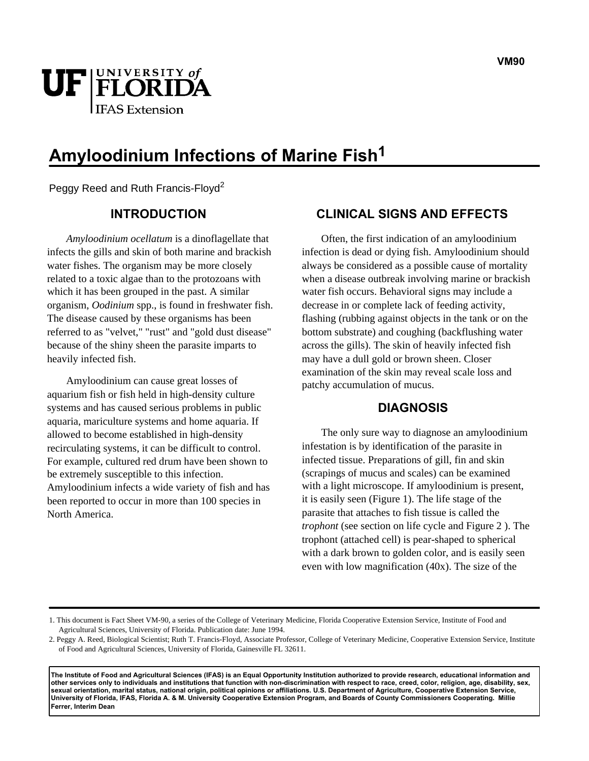

# **Amyloodinium Infections of Marine Fish1**

Peggy Reed and Ruth Francis-Floyd<sup>2</sup>

## **INTRODUCTION**

*Amyloodinium ocellatum* is a dinoflagellate that infects the gills and skin of both marine and brackish water fishes. The organism may be more closely related to a toxic algae than to the protozoans with which it has been grouped in the past. A similar organism, *Oodinium* spp., is found in freshwater fish. The disease caused by these organisms has been referred to as "velvet," "rust" and "gold dust disease" because of the shiny sheen the parasite imparts to heavily infected fish.

Amyloodinium can cause great losses of aquarium fish or fish held in high-density culture systems and has caused serious problems in public aquaria, mariculture systems and home aquaria. If allowed to become established in high-density recirculating systems, it can be difficult to control. For example, cultured red drum have been shown to be extremely susceptible to this infection. Amyloodinium infects a wide variety of fish and has been reported to occur in more than 100 species in North America.

## **CLINICAL SIGNS AND EFFECTS**

Often, the first indication of an amyloodinium infection is dead or dying fish. Amyloodinium should always be considered as a possible cause of mortality when a disease outbreak involving marine or brackish water fish occurs. Behavioral signs may include a decrease in or complete lack of feeding activity, flashing (rubbing against objects in the tank or on the bottom substrate) and coughing (backflushing water across the gills). The skin of heavily infected fish may have a dull gold or brown sheen. Closer examination of the skin may reveal scale loss and patchy accumulation of mucus.

### **DIAGNOSIS**

The only sure way to diagnose an amyloodinium infestation is by identification of the parasite in infected tissue. Preparations of gill, fin and skin (scrapings of mucus and scales) can be examined with a light microscope. If amyloodinium is present, it is easily seen (Figure 1). The life stage of the parasite that attaches to fish tissue is called the *trophont* (see section on life cycle and Figure 2 ). The trophont (attached cell) is pear-shaped to spherical with a dark brown to golden color, and is easily seen even with low magnification (40x). The size of the

**The Institute of Food and Agricultural Sciences (IFAS) is an Equal Opportunity Institution authorized to provide research, educational information and other services only to individuals and institutions that function with non-discrimination with respect to race, creed, color, religion, age, disability, sex, sexual orientation, marital status, national origin, political opinions or affiliations. U.S. Department of Agriculture, Cooperative Extension Service, University of Florida, IFAS, Florida A. & M. University Cooperative Extension Program, and Boards of County Commissioners Cooperating. Millie Ferrer, Interim Dean** 

<sup>1.</sup> This document is Fact Sheet VM-90, a series of the College of Veterinary Medicine, Florida Cooperative Extension Service, Institute of Food and Agricultural Sciences, University of Florida. Publication date: June 1994.

<sup>2.</sup> Peggy A. Reed, Biological Scientist; Ruth T. Francis-Floyd, Associate Professor, College of Veterinary Medicine, Cooperative Extension Service, Institute of Food and Agricultural Sciences, University of Florida, Gainesville FL 32611.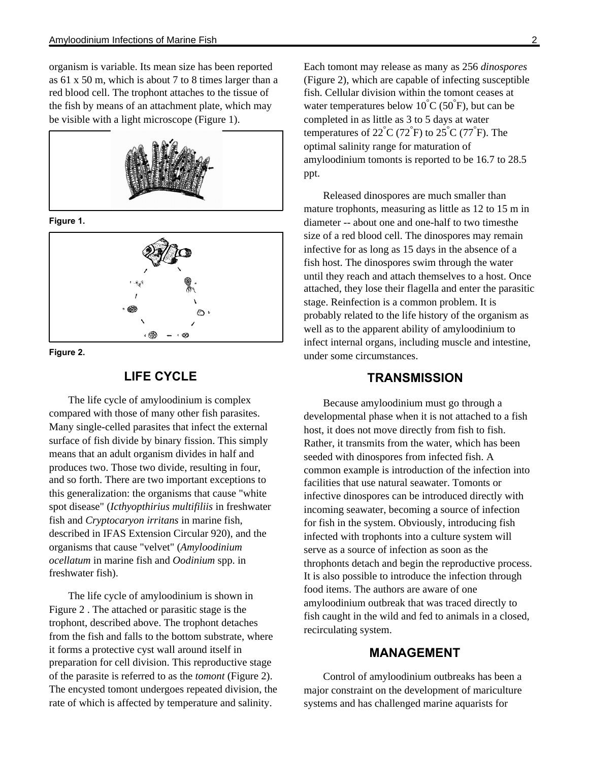organism is variable. Its mean size has been reported as 61 x 50 m, which is about 7 to 8 times larger than a red blood cell. The trophont attaches to the tissue of the fish by means of an attachment plate, which may be visible with a light microscope (Figure 1).



**Figure 1.** 



**Figure 2.** 

# **LIFE CYCLE**

The life cycle of amyloodinium is complex compared with those of many other fish parasites. Many single-celled parasites that infect the external surface of fish divide by binary fission. This simply means that an adult organism divides in half and produces two. Those two divide, resulting in four, and so forth. There are two important exceptions to this generalization: the organisms that cause "white spot disease" (*Icthyopthirius multifiliis* in freshwater fish and *Cryptocaryon irritans* in marine fish, described in IFAS Extension Circular 920), and the organisms that cause "velvet" (*Amyloodinium ocellatum* in marine fish and *Oodinium* spp. in freshwater fish).

The life cycle of amyloodinium is shown in Figure 2 . The attached or parasitic stage is the trophont, described above. The trophont detaches from the fish and falls to the bottom substrate, where it forms a protective cyst wall around itself in preparation for cell division. This reproductive stage of the parasite is referred to as the *tomont* (Figure 2). The encysted tomont undergoes repeated division, the rate of which is affected by temperature and salinity.

Each tomont may release as many as 256 *dinospores* (Figure 2), which are capable of infecting susceptible fish. Cellular division within the tomont ceases at water temperatures below  $10^{\circ}C(50^{\circ}F)$ , but can be completed in as little as 3 to 5 days at water temperatures of  $22^{\circ}C(72^{\circ}F)$  to  $25^{\circ}C(77^{\circ}F)$ . The optimal salinity range for maturation of amyloodinium tomonts is reported to be 16.7 to 28.5 ppt.

Released dinospores are much smaller than mature trophonts, measuring as little as 12 to 15 m in diameter -- about one and one-half to two timesthe size of a red blood cell. The dinospores may remain infective for as long as 15 days in the absence of a fish host. The dinospores swim through the water until they reach and attach themselves to a host. Once attached, they lose their flagella and enter the parasitic stage. Reinfection is a common problem. It is probably related to the life history of the organism as well as to the apparent ability of amyloodinium to infect internal organs, including muscle and intestine, under some circumstances.

## **TRANSMISSION**

Because amyloodinium must go through a developmental phase when it is not attached to a fish host, it does not move directly from fish to fish. Rather, it transmits from the water, which has been seeded with dinospores from infected fish. A common example is introduction of the infection into facilities that use natural seawater. Tomonts or infective dinospores can be introduced directly with incoming seawater, becoming a source of infection for fish in the system. Obviously, introducing fish infected with trophonts into a culture system will serve as a source of infection as soon as the throphonts detach and begin the reproductive process. It is also possible to introduce the infection through food items. The authors are aware of one amyloodinium outbreak that was traced directly to fish caught in the wild and fed to animals in a closed, recirculating system.

## **MANAGEMENT**

Control of amyloodinium outbreaks has been a major constraint on the development of mariculture systems and has challenged marine aquarists for